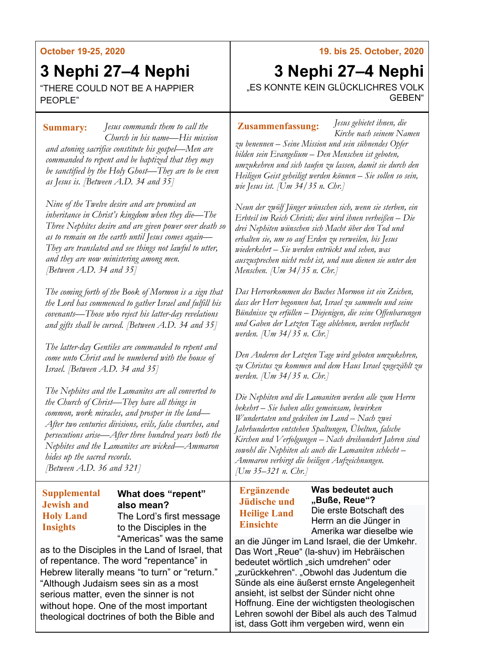### **October 19-25, 2020**

# **3 Nephi 27–4 Nephi**

"THERE COULD NOT BE A HAPPIER PEOPLE"

*Jesus commands them to call the*  **Summary: Zusammenfassung:** *Church in his name—His mission and atoning sacrifice constitute his gospel—Men are commanded to repent and be baptized that they may be sanctified by the Holy Ghost—They are to be even as Jesus is. [Between A.D. 34 and 35]*

*Nine of the Twelve desire and are promised an inheritance in Christ's kingdom when they die—The Three Nephites desire and are given power over death so as to remain on the earth until Jesus comes again— They are translated and see things not lawful to utter, and they are now ministering among men. [Between A.D. 34 and 35]*

*The coming forth of the Book of Mormon is a sign that the Lord has commenced to gather Israel and fulfill his covenants—Those who reject his latter-day revelations and gifts shall be cursed. [Between A.D. 34 and 35]*

*The latter-day Gentiles are commanded to repent and come unto Christ and be numbered with the house of Israel. [Between A.D. 34 and 35]*

*The Nephites and the Lamanites are all converted to the Church of Christ—They have all things in common, work miracles, and prosper in the land— After two centuries divisions, evils, false churches, and persecutions arise—After three hundred years both the Nephites and the Lamanites are wicked—Ammaron hides up the sacred records. [Between A.D. 36 and 321]*

#### **Supplemental Jewish and Holy Land Insights**

#### **What does "repent" also mean?** The Lord's first message to the Disciples in the

"Americas" was the same as to the Disciples in the Land of Israel, that of repentance. The word "repentance" in Hebrew literally means "to turn" or "return." "Although Judaism sees sin as a most serious matter, even the sinner is not without hope. One of the most important theological doctrines of both the Bible and

### **19. bis 25. October, 2020**

## **3 Nephi 27–4 Nephi** "ES KONNTE KEIN GLÜCKLICHRES VOLK GEBEN"

*Jesus gebietet ihnen, die Kirche nach seinem Namen* 

*zu benennen – Seine Mission und sein sühnendes Opfer bilden sein Evangelium – Den Menschen ist geboten, umzukehren und sich taufen zu lassen, damit sie durch den Heiligen Geist geheiligt werden können – Sie sollen so sein, wie Jesus ist. [Um 34/35 n. Chr.]*

*Neun der zwölf Jünger wünschen sich, wenn sie sterben, ein Erbteil im Reich Christi; dies wird ihnen verheißen – Die drei Nephiten wünschen sich Macht über den Tod und erhalten sie, um so auf Erden zu verweilen, bis Jesus wiederkehrt – Sie werden entrückt und sehen, was auszusprechen nicht recht ist, und nun dienen sie unter den Menschen. [Um 34/35 n. Chr.]*

*Das Hervorkommen des Buches Mormon ist ein Zeichen, dass der Herr begonnen hat, Israel zu sammeln und seine Bündnisse zu erfüllen – Diejenigen, die seine Offenbarungen und Gaben der Letzten Tage ablehnen, werden verflucht werden. [Um 34/35 n. Chr.]*

*Den Anderen der Letzten Tage wird geboten umzukehren, zu Christus zu kommen und dem Haus Israel zugezählt zu werden. [Um 34/35 n. Chr.]*

*Die Nephiten und die Lamaniten werden alle zum Herrn bekehrt – Sie haben alles gemeinsam, bewirken Wundertaten und gedeihen im Land – Nach zwei Jahrhunderten entstehen Spaltungen, Übeltun, falsche Kirchen und Verfolgungen – Nach dreihundert Jahren sind sowohl die Nephiten als auch die Lamaniten schlecht – Ammaron verbirgt die heiligen Aufzeichnungen. [Um 35–321 n. Chr.]*

#### **Ergänzende Jüdische und Heilige Land Einsichte**

**Was bedeutet auch "Buße, Reue"?** Die erste Botschaft des Herrn an die Jünger in Amerika war dieselbe wie

an die Jünger im Land Israel, die der Umkehr. Das Wort "Reue" (la-shuv) im Hebräischen bedeutet wörtlich "sich umdrehen" oder "zurückkehren". "Obwohl das Judentum die Sünde als eine äußerst ernste Angelegenheit ansieht, ist selbst der Sünder nicht ohne Hoffnung. Eine der wichtigsten theologischen Lehren sowohl der Bibel als auch des Talmud ist, dass Gott ihm vergeben wird, wenn ein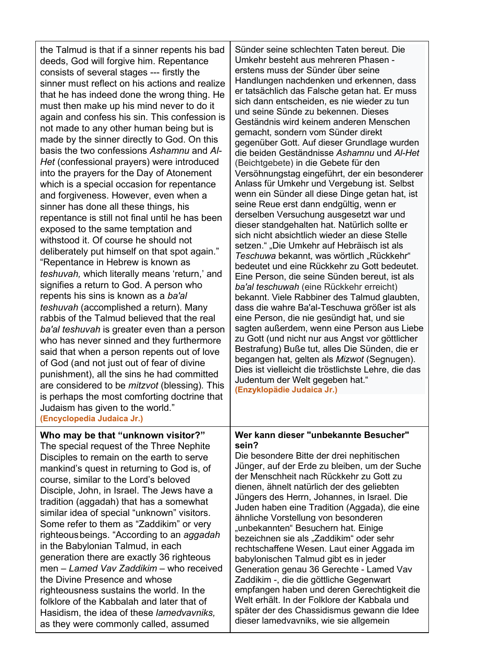| the Talmud is that if a sinner repents his bad<br>deeds, God will forgive him. Repentance<br>consists of several stages --- firstly the<br>sinner must reflect on his actions and realize<br>that he has indeed done the wrong thing. He<br>must then make up his mind never to do it<br>again and confess his sin. This confession is<br>not made to any other human being but is<br>made by the sinner directly to God. On this<br>basis the two confessions Ashamnu and Al-<br>Het (confessional prayers) were introduced<br>into the prayers for the Day of Atonement<br>which is a special occasion for repentance<br>and forgiveness. However, even when a<br>sinner has done all these things, his<br>repentance is still not final until he has been<br>exposed to the same temptation and<br>withstood it. Of course he should not<br>deliberately put himself on that spot again."<br>"Repentance in Hebrew is known as<br>teshuvah, which literally means 'return,' and<br>signifies a return to God. A person who<br>repents his sins is known as a ba'al<br>teshuvah (accomplished a return). Many<br>rabbis of the Talmud believed that the real<br>ba'al teshuvah is greater even than a person<br>who has never sinned and they furthermore<br>said that when a person repents out of love<br>of God (and not just out of fear of divine<br>punishment), all the sins he had committed<br>are considered to be <i>mitzvot</i> (blessing). This<br>is perhaps the most comforting doctrine that | Sünder seine schlechten Taten bereut. Die<br>Umkehr besteht aus mehreren Phasen -<br>erstens muss der Sünder über seine<br>Handlungen nachdenken und erkennen, dass<br>er tatsächlich das Falsche getan hat. Er muss<br>sich dann entscheiden, es nie wieder zu tun<br>und seine Sünde zu bekennen. Dieses<br>Geständnis wird keinem anderen Menschen<br>gemacht, sondern vom Sünder direkt<br>gegenüber Gott. Auf dieser Grundlage wurden<br>die beiden Geständnisse Ashamnu und Al-Het<br>(Beichtgebete) in die Gebete für den<br>Versöhnungstag eingeführt, der ein besonderer<br>Anlass für Umkehr und Vergebung ist. Selbst<br>wenn ein Sünder all diese Dinge getan hat, ist<br>seine Reue erst dann endgültig, wenn er<br>derselben Versuchung ausgesetzt war und<br>dieser standgehalten hat. Natürlich sollte er<br>sich nicht absichtlich wieder an diese Stelle<br>setzen." "Die Umkehr auf Hebräisch ist als<br>Teschuwa bekannt, was wörtlich "Rückkehr"<br>bedeutet und eine Rückkehr zu Gott bedeutet.<br>Eine Person, die seine Sünden bereut, ist als<br>ba'al teschuwah (eine Rückkehr erreicht)<br>bekannt. Viele Rabbiner des Talmud glaubten,<br>dass die wahre Ba'al-Teschuwa größer ist als<br>eine Person, die nie gesündigt hat, und sie<br>sagten außerdem, wenn eine Person aus Liebe<br>zu Gott (und nicht nur aus Angst vor göttlicher<br>Bestrafung) Buße tut, alles Die Sünden, die er<br>begangen hat, gelten als Mizwot (Segnugen).<br>Dies ist vielleicht die tröstlichste Lehre, die das<br>Judentum der Welt gegeben hat."<br>(Enzyklopädie Judaica Jr.) |
|----------------------------------------------------------------------------------------------------------------------------------------------------------------------------------------------------------------------------------------------------------------------------------------------------------------------------------------------------------------------------------------------------------------------------------------------------------------------------------------------------------------------------------------------------------------------------------------------------------------------------------------------------------------------------------------------------------------------------------------------------------------------------------------------------------------------------------------------------------------------------------------------------------------------------------------------------------------------------------------------------------------------------------------------------------------------------------------------------------------------------------------------------------------------------------------------------------------------------------------------------------------------------------------------------------------------------------------------------------------------------------------------------------------------------------------------------------------------------------------------------------------|----------------------------------------------------------------------------------------------------------------------------------------------------------------------------------------------------------------------------------------------------------------------------------------------------------------------------------------------------------------------------------------------------------------------------------------------------------------------------------------------------------------------------------------------------------------------------------------------------------------------------------------------------------------------------------------------------------------------------------------------------------------------------------------------------------------------------------------------------------------------------------------------------------------------------------------------------------------------------------------------------------------------------------------------------------------------------------------------------------------------------------------------------------------------------------------------------------------------------------------------------------------------------------------------------------------------------------------------------------------------------------------------------------------------------------------------------------------------------------------------------------------------------------------------------------------------------------------------|
| Judaism has given to the world."<br>(Encyclopedia Judaica Jr.)                                                                                                                                                                                                                                                                                                                                                                                                                                                                                                                                                                                                                                                                                                                                                                                                                                                                                                                                                                                                                                                                                                                                                                                                                                                                                                                                                                                                                                                 |                                                                                                                                                                                                                                                                                                                                                                                                                                                                                                                                                                                                                                                                                                                                                                                                                                                                                                                                                                                                                                                                                                                                                                                                                                                                                                                                                                                                                                                                                                                                                                                              |
| Who may be that "unknown visitor?"<br>The special request of the Three Nephite<br>Disciples to remain on the earth to serve<br>mankind's quest in returning to God is, of<br>course, similar to the Lord's beloved<br>Disciple, John, in Israel. The Jews have a<br>tradition (aggadah) that has a somewhat<br>similar idea of special "unknown" visitors.<br>Some refer to them as "Zaddikim" or very<br>righteous beings. "According to an aggadah<br>in the Babylonian Talmud, in each<br>generation there are exactly 36 righteous<br>men - Lamed Vav Zaddikim - who received<br>the Divine Presence and whose<br>righteousness sustains the world. In the<br>folklore of the Kabbalah and later that of<br>Hasidism, the idea of these lamedvavniks,<br>as they were commonly called, assumed                                                                                                                                                                                                                                                                                                                                                                                                                                                                                                                                                                                                                                                                                                             | Wer kann dieser "unbekannte Besucher"<br>sein?<br>Die besondere Bitte der drei nephitischen<br>Jünger, auf der Erde zu bleiben, um der Suche<br>der Menschheit nach Rückkehr zu Gott zu<br>dienen, ähnelt natürlich der des geliebten<br>Jüngers des Herrn, Johannes, in Israel. Die<br>Juden haben eine Tradition (Aggada), die eine<br>ähnliche Vorstellung von besonderen<br>"unbekannten" Besuchern hat. Einige<br>bezeichnen sie als "Zaddikim" oder sehr<br>rechtschaffene Wesen. Laut einer Aggada im<br>babylonischen Talmud gibt es in jeder<br>Generation genau 36 Gerechte - Lamed Vav<br>Zaddikim -, die die göttliche Gegenwart<br>empfangen haben und deren Gerechtigkeit die<br>Welt erhält. In der Folklore der Kabbala und<br>später der des Chassidismus gewann die Idee<br>dieser lamedvavniks, wie sie allgemein                                                                                                                                                                                                                                                                                                                                                                                                                                                                                                                                                                                                                                                                                                                                                         |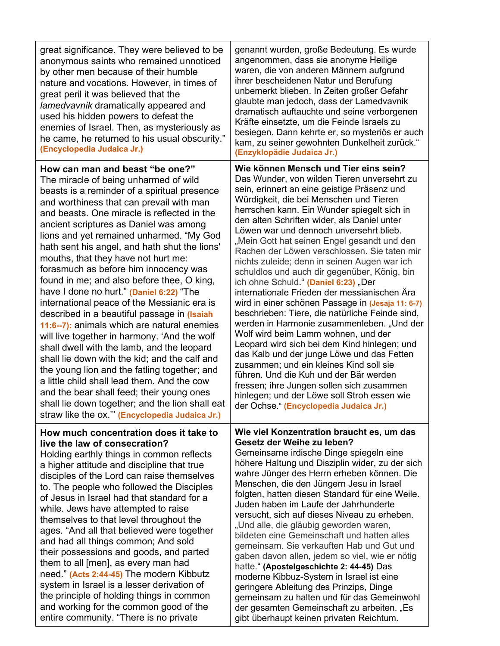| great significance. They were believed to be<br>anonymous saints who remained unnoticed<br>by other men because of their humble<br>nature and vocations. However, in times of<br>great peril it was believed that the<br>lamedvavnik dramatically appeared and<br>used his hidden powers to defeat the<br>enemies of Israel. Then, as mysteriously as<br>he came, he returned to his usual obscurity."<br>(Encyclopedia Judaica Jr.)                                                                                                                                                                                                                                                                                                                                                                                                                                                                                                                                                                                                                                               | genannt wurden, große Bedeutung. Es wurde<br>angenommen, dass sie anonyme Heilige<br>waren, die von anderen Männern aufgrund<br>ihrer bescheidenen Natur und Berufung<br>unbemerkt blieben. In Zeiten großer Gefahr<br>glaubte man jedoch, dass der Lamedvavnik<br>dramatisch auftauchte und seine verborgenen<br>Kräfte einsetzte, um die Feinde Israels zu<br>besiegen. Dann kehrte er, so mysteriös er auch<br>kam, zu seiner gewohnten Dunkelheit zurück."<br>(Enzyklopädie Judaica Jr.)                                                                                                                                                                                                                                                                                                                                                                                                                                                                                                                                                                                                                                         |
|------------------------------------------------------------------------------------------------------------------------------------------------------------------------------------------------------------------------------------------------------------------------------------------------------------------------------------------------------------------------------------------------------------------------------------------------------------------------------------------------------------------------------------------------------------------------------------------------------------------------------------------------------------------------------------------------------------------------------------------------------------------------------------------------------------------------------------------------------------------------------------------------------------------------------------------------------------------------------------------------------------------------------------------------------------------------------------|--------------------------------------------------------------------------------------------------------------------------------------------------------------------------------------------------------------------------------------------------------------------------------------------------------------------------------------------------------------------------------------------------------------------------------------------------------------------------------------------------------------------------------------------------------------------------------------------------------------------------------------------------------------------------------------------------------------------------------------------------------------------------------------------------------------------------------------------------------------------------------------------------------------------------------------------------------------------------------------------------------------------------------------------------------------------------------------------------------------------------------------|
| How can man and beast "be one?"<br>The miracle of being unharmed of wild<br>beasts is a reminder of a spiritual presence<br>and worthiness that can prevail with man<br>and beasts. One miracle is reflected in the<br>ancient scriptures as Daniel was among<br>lions and yet remained unharmed. "My God<br>hath sent his angel, and hath shut the lions'<br>mouths, that they have not hurt me:<br>forasmuch as before him innocency was<br>found in me; and also before thee, O king,<br>have I done no hurt." (Daniel 6:22) "The<br>international peace of the Messianic era is<br>described in a beautiful passage in (Isaiah<br>11:6--7): animals which are natural enemies<br>will live together in harmony. 'And the wolf<br>shall dwell with the lamb, and the leopard<br>shall lie down with the kid; and the calf and<br>the young lion and the fatling together; and<br>a little child shall lead them. And the cow<br>and the bear shall feed; their young ones<br>shall lie down together; and the lion shall eat<br>straw like the ox."" (Encyclopedia Judaica Jr.) | Wie können Mensch und Tier eins sein?<br>Das Wunder, von wilden Tieren unversehrt zu<br>sein, erinnert an eine geistige Präsenz und<br>Würdigkeit, die bei Menschen und Tieren<br>herrschen kann. Ein Wunder spiegelt sich in<br>den alten Schriften wider, als Daniel unter<br>Löwen war und dennoch unversehrt blieb.<br>"Mein Gott hat seinen Engel gesandt und den<br>Rachen der Löwen verschlossen. Sie taten mir<br>nichts zuleide; denn in seinen Augen war ich<br>schuldlos und auch dir gegenüber, König, bin<br>ich ohne Schuld." (Daniel 6:23) "Der<br>internationale Frieden der messianischen Ära<br>wird in einer schönen Passage in (Jesaja 11: 6-7)<br>beschrieben: Tiere, die natürliche Feinde sind,<br>werden in Harmonie zusammenleben. "Und der<br>Wolf wird beim Lamm wohnen, und der<br>Leopard wird sich bei dem Kind hinlegen; und<br>das Kalb und der junge Löwe und das Fetten<br>zusammen; und ein kleines Kind soll sie<br>führen. Und die Kuh und der Bär werden<br>fressen; ihre Jungen sollen sich zusammen<br>hinlegen; und der Löwe soll Stroh essen wie<br>der Ochse." (Encyclopedia Judaica Jr.) |
| How much concentration does it take to<br>live the law of consecration?<br>Holding earthly things in common reflects<br>a higher attitude and discipline that true<br>disciples of the Lord can raise themselves<br>to. The people who followed the Disciples<br>of Jesus in Israel had that standard for a<br>while. Jews have attempted to raise<br>themselves to that level throughout the<br>ages. "And all that believed were together<br>and had all things common; And sold<br>their possessions and goods, and parted<br>them to all [men], as every man had<br>need." (Acts 2:44-45) The modern Kibbutz<br>system in Israel is a lesser derivation of<br>the principle of holding things in common<br>and working for the common good of the<br>entire community. "There is no private                                                                                                                                                                                                                                                                                    | Wie viel Konzentration braucht es, um das<br>Gesetz der Weihe zu leben?<br>Gemeinsame irdische Dinge spiegeln eine<br>höhere Haltung und Disziplin wider, zu der sich<br>wahre Jünger des Herrn erheben können. Die<br>Menschen, die den Jüngern Jesu in Israel<br>folgten, hatten diesen Standard für eine Weile.<br>Juden haben im Laufe der Jahrhunderte<br>versucht, sich auf dieses Niveau zu erheben.<br>"Und alle, die gläubig geworden waren,<br>bildeten eine Gemeinschaft und hatten alles<br>gemeinsam. Sie verkauften Hab und Gut und<br>gaben davon allen, jedem so viel, wie er nötig<br>hatte." (Apostelgeschichte 2: 44-45) Das<br>moderne Kibbuz-System in Israel ist eine<br>geringere Ableitung des Prinzips, Dinge<br>gemeinsam zu halten und für das Gemeinwohl<br>der gesamten Gemeinschaft zu arbeiten. "Es<br>gibt überhaupt keinen privaten Reichtum.                                                                                                                                                                                                                                                       |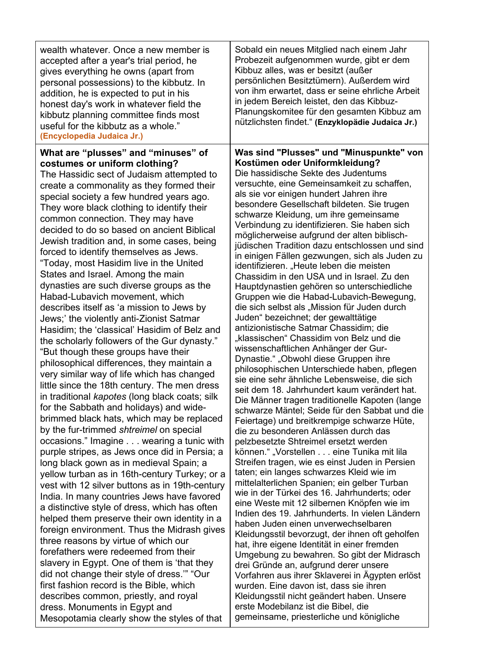| wealth whatever. Once a new member is<br>accepted after a year's trial period, he<br>gives everything he owns (apart from<br>personal possessions) to the kibbutz. In<br>addition, he is expected to put in his<br>honest day's work in whatever field the<br>kibbutz planning committee finds most<br>useful for the kibbutz as a whole."<br>(Encyclopedia Judaica Jr.)                                                                                                                                                                                                                                                                                                                                                                                                                                                                                                                                                                                                                                                                                                                                                                                                                                                                                                                                                                                                                                                                                                                                                                                                                                                                                                                                                                                                                                                                                                                                                                                     | Sobald ein neues Mitglied nach einem Jahr<br>Probezeit aufgenommen wurde, gibt er dem<br>Kibbuz alles, was er besitzt (außer<br>persönlichen Besitztümern). Außerdem wird<br>von ihm erwartet, dass er seine ehrliche Arbeit<br>in jedem Bereich leistet, den das Kibbuz-<br>Planungskomitee für den gesamten Kibbuz am<br>nützlichsten findet." (Enzyklopädie Judaica Jr.)                                                                                                                                                                                                                                                                                                                                                                                                                                                                                                                                                                                                                                                                                                                                                                                                                                                                                                                                                                                                                                                                                                                                                                                                                                                                                                                                                                                                                                                                                                                                                                                                                                                                                                                                                                        |
|--------------------------------------------------------------------------------------------------------------------------------------------------------------------------------------------------------------------------------------------------------------------------------------------------------------------------------------------------------------------------------------------------------------------------------------------------------------------------------------------------------------------------------------------------------------------------------------------------------------------------------------------------------------------------------------------------------------------------------------------------------------------------------------------------------------------------------------------------------------------------------------------------------------------------------------------------------------------------------------------------------------------------------------------------------------------------------------------------------------------------------------------------------------------------------------------------------------------------------------------------------------------------------------------------------------------------------------------------------------------------------------------------------------------------------------------------------------------------------------------------------------------------------------------------------------------------------------------------------------------------------------------------------------------------------------------------------------------------------------------------------------------------------------------------------------------------------------------------------------------------------------------------------------------------------------------------------------|----------------------------------------------------------------------------------------------------------------------------------------------------------------------------------------------------------------------------------------------------------------------------------------------------------------------------------------------------------------------------------------------------------------------------------------------------------------------------------------------------------------------------------------------------------------------------------------------------------------------------------------------------------------------------------------------------------------------------------------------------------------------------------------------------------------------------------------------------------------------------------------------------------------------------------------------------------------------------------------------------------------------------------------------------------------------------------------------------------------------------------------------------------------------------------------------------------------------------------------------------------------------------------------------------------------------------------------------------------------------------------------------------------------------------------------------------------------------------------------------------------------------------------------------------------------------------------------------------------------------------------------------------------------------------------------------------------------------------------------------------------------------------------------------------------------------------------------------------------------------------------------------------------------------------------------------------------------------------------------------------------------------------------------------------------------------------------------------------------------------------------------------------|
| What are "plusses" and "minuses" of<br>costumes or uniform clothing?<br>The Hassidic sect of Judaism attempted to<br>create a commonality as they formed their<br>special society a few hundred years ago.<br>They wore black clothing to identify their<br>common connection. They may have<br>decided to do so based on ancient Biblical<br>Jewish tradition and, in some cases, being<br>forced to identify themselves as Jews.<br>"Today, most Hasidim live in the United<br>States and Israel. Among the main<br>dynasties are such diverse groups as the<br>Habad-Lubavich movement, which<br>describes itself as 'a mission to Jews by<br>Jews;' the violently anti-Zionist Satmar<br>Hasidim; the 'classical' Hasidim of Belz and<br>the scholarly followers of the Gur dynasty."<br>"But though these groups have their<br>philosophical differences, they maintain a<br>very similar way of life which has changed<br>little since the 18th century. The men dress<br>in traditional kapotes (long black coats; silk<br>for the Sabbath and holidays) and wide-<br>brimmed black hats, which may be replaced<br>by the fur-trimmed shtreimel on special<br>occasions." Imagine wearing a tunic with<br>purple stripes, as Jews once did in Persia; a<br>long black gown as in medieval Spain; a<br>yellow turban as in 16th-century Turkey; or a<br>vest with 12 silver buttons as in 19th-century<br>India. In many countries Jews have favored<br>a distinctive style of dress, which has often<br>helped them preserve their own identity in a<br>foreign environment. Thus the Midrash gives<br>three reasons by virtue of which our<br>forefathers were redeemed from their<br>slavery in Egypt. One of them is 'that they<br>did not change their style of dress." "Our<br>first fashion record is the Bible, which<br>describes common, priestly, and royal<br>dress. Monuments in Egypt and<br>Mesopotamia clearly show the styles of that | Was sind "Plusses" und "Minuspunkte" von<br>Kostümen oder Uniformkleidung?<br>Die hassidische Sekte des Judentums<br>versuchte, eine Gemeinsamkeit zu schaffen,<br>als sie vor einigen hundert Jahren ihre<br>besondere Gesellschaft bildeten. Sie trugen<br>schwarze Kleidung, um ihre gemeinsame<br>Verbindung zu identifizieren. Sie haben sich<br>möglicherweise aufgrund der alten biblisch-<br>jüdischen Tradition dazu entschlossen und sind<br>in einigen Fällen gezwungen, sich als Juden zu<br>identifizieren. "Heute leben die meisten<br>Chassidim in den USA und in Israel. Zu den<br>Hauptdynastien gehören so unterschiedliche<br>Gruppen wie die Habad-Lubavich-Bewegung,<br>die sich selbst als "Mission für Juden durch<br>Juden" bezeichnet; der gewalttätige<br>antizionistische Satmar Chassidim; die<br>"klassischen" Chassidim von Belz und die<br>wissenschaftlichen Anhänger der Gur-<br>Dynastie." "Obwohl diese Gruppen ihre<br>philosophischen Unterschiede haben, pflegen<br>sie eine sehr ähnliche Lebensweise, die sich<br>seit dem 18. Jahrhundert kaum verändert hat.<br>Die Männer tragen traditionelle Kapoten (lange<br>schwarze Mäntel; Seide für den Sabbat und die<br>Feiertage) und breitkrempige schwarze Hüte,<br>die zu besonderen Anlässen durch das<br>pelzbesetzte Shtreimel ersetzt werden<br>können." "Vorstellen eine Tunika mit lila<br>Streifen tragen, wie es einst Juden in Persien<br>taten; ein langes schwarzes Kleid wie im<br>mittelalterlichen Spanien; ein gelber Turban<br>wie in der Türkei des 16. Jahrhunderts; oder<br>eine Weste mit 12 silbernen Knöpfen wie im<br>Indien des 19. Jahrhunderts. In vielen Ländern<br>haben Juden einen unverwechselbaren<br>Kleidungsstil bevorzugt, der ihnen oft geholfen<br>hat, ihre eigene Identität in einer fremden<br>Umgebung zu bewahren. So gibt der Midrasch<br>drei Gründe an, aufgrund derer unsere<br>Vorfahren aus ihrer Sklaverei in Ägypten erlöst<br>wurden. Eine davon ist, dass sie ihren<br>Kleidungsstil nicht geändert haben. Unsere<br>erste Modebilanz ist die Bibel, die<br>gemeinsame, priesterliche und königliche |